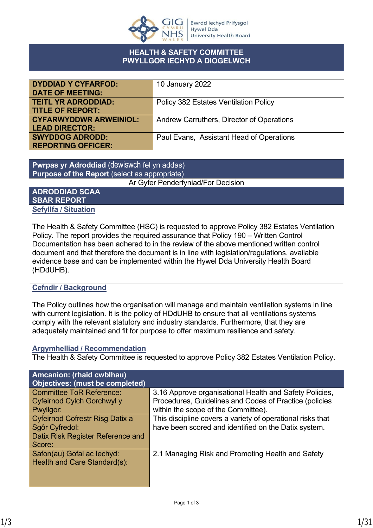

### **HEALTH & SAFETY COMMITTEE PWYLLGOR IECHYD A DIOGELWCH**

| <b>DYDDIAD Y CYFARFOD:</b>    | 10 January 2022                           |
|-------------------------------|-------------------------------------------|
| <b>DATE OF MEETING:</b>       |                                           |
| <b>TEITL YR ADRODDIAD:</b>    | Policy 382 Estates Ventilation Policy     |
| <b>TITLE OF REPORT:</b>       |                                           |
| <b>CYFARWYDDWR ARWEINIOL:</b> | Andrew Carruthers, Director of Operations |
| <b>LEAD DIRECTOR:</b>         |                                           |
| <b>SWYDDOG ADRODD:</b>        | Paul Evans, Assistant Head of Operations  |
| <b>REPORTING OFFICER:</b>     |                                           |

### **Pwrpas yr Adroddiad** (dewiswch fel yn addas) **Purpose of the Report** (select as appropriate)

Ar Gyfer Penderfyniad/For Decision

#### **ADRODDIAD SCAA SBAR REPORT Sefyllfa / Situation**

The Health & Safety Committee (HSC) is requested to approve Policy 382 Estates Ventilation Policy. The report provides the required assurance that Policy 190 – Written Control Documentation has been adhered to in the review of the above mentioned written control document and that therefore the document is in line with legislation/regulations, available evidence base and can be implemented within the Hywel Dda University Health Board (HDdUHB).

# **Cefndir / Background**

The Policy outlines how the organisation will manage and maintain ventilation systems in line with current legislation. It is the policy of HDdUHB to ensure that all ventilations systems comply with the relevant statutory and industry standards. Furthermore, that they are adequately maintained and fit for purpose to offer maximum resilience and safety.

# **Argymhelliad / Recommendation**

The Health & Safety Committee is requested to approve Policy 382 Estates Ventilation Policy.

| <b>Amcanion: (rhaid cwblhau)</b><br><b>Objectives: (must be completed)</b> |                                                            |
|----------------------------------------------------------------------------|------------------------------------------------------------|
| <b>Committee ToR Reference:</b>                                            | 3.16 Approve organisational Health and Safety Policies,    |
| Cyfeirnod Cylch Gorchwyl y                                                 | Procedures, Guidelines and Codes of Practice (policies     |
| Pwyllgor:                                                                  | within the scope of the Committee).                        |
| Cyfeirnod Cofrestr Risg Datix a                                            | This discipline covers a variety of operational risks that |
| Sgôr Cyfredol:                                                             | have been scored and identified on the Datix system.       |
| Datix Risk Register Reference and                                          |                                                            |
| Score:                                                                     |                                                            |
| Safon(au) Gofal ac lechyd:                                                 | 2.1 Managing Risk and Promoting Health and Safety          |
| Health and Care Standard(s):                                               |                                                            |
|                                                                            |                                                            |
|                                                                            |                                                            |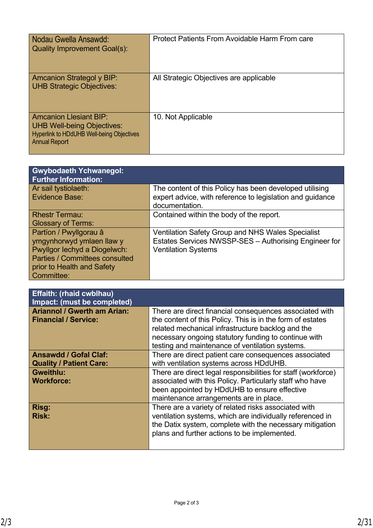| Nodau Gwella Ansawdd:<br><b>Quality Improvement Goal(s):</b>                                                                                   | Protect Patients From Avoidable Harm From care |
|------------------------------------------------------------------------------------------------------------------------------------------------|------------------------------------------------|
| <b>Amcanion Strategol y BIP:</b><br><b>UHB Strategic Objectives:</b>                                                                           | All Strategic Objectives are applicable        |
| <b>Amcanion Llesiant BIP:</b><br><b>UHB Well-being Objectives:</b><br><b>Hyperlink to HDdUHB Well-being Objectives</b><br><b>Annual Report</b> | 10. Not Applicable                             |

| <b>Gwybodaeth Ychwanegol:</b><br><b>Further Information:</b>                                                                                                             |                                                                                                                                                 |
|--------------------------------------------------------------------------------------------------------------------------------------------------------------------------|-------------------------------------------------------------------------------------------------------------------------------------------------|
| Ar sail tystiolaeth:<br>Evidence Base:                                                                                                                                   | The content of this Policy has been developed utilising<br>expert advice, with reference to legislation and guidance<br>documentation.          |
| <b>Rhestr Termau:</b><br><b>Glossary of Terms:</b>                                                                                                                       | Contained within the body of the report.                                                                                                        |
| Partïon / Pwyllgorau â<br>ymgynhorwyd ymlaen llaw y<br>Pwyllgor lechyd a Diogelwch:<br><b>Parties / Committees consulted</b><br>prior to Health and Safety<br>Committee: | <b>Ventilation Safety Group and NHS Wales Specialist</b><br>Estates Services NWSSP-SES - Authorising Engineer for<br><b>Ventilation Systems</b> |

| <b>Effaith: (rhaid cwblhau)</b><br>Impact: (must be completed)    |                                                                                                                                                                                                                                                                                       |
|-------------------------------------------------------------------|---------------------------------------------------------------------------------------------------------------------------------------------------------------------------------------------------------------------------------------------------------------------------------------|
| <b>Ariannol / Gwerth am Arian:</b><br><b>Financial / Service:</b> | There are direct financial consequences associated with<br>the content of this Policy. This is in the form of estates<br>related mechanical infrastructure backlog and the<br>necessary ongoing statutory funding to continue with<br>testing and maintenance of ventilation systems. |
| <b>Ansawdd / Gofal Claf:</b><br><b>Quality / Patient Care:</b>    | There are direct patient care consequences associated<br>with ventilation systems across HDdUHB.                                                                                                                                                                                      |
| Gweithlu:<br><b>Workforce:</b>                                    | There are direct legal responsibilities for staff (workforce)<br>associated with this Policy. Particularly staff who have<br>been appointed by HDdUHB to ensure effective<br>maintenance arrangements are in place.                                                                   |
| Risg:<br><b>Risk:</b>                                             | There are a variety of related risks associated with<br>ventilation systems, which are individually referenced in<br>the Datix system, complete with the necessary mitigation<br>plans and further actions to be implemented.                                                         |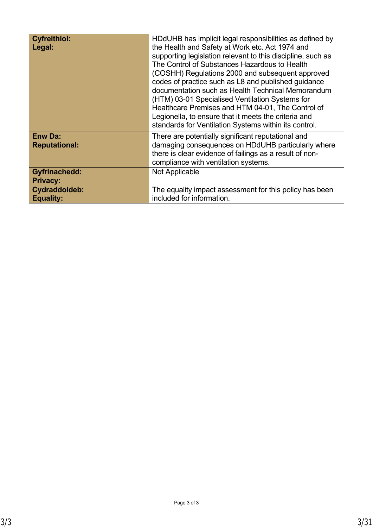| <b>Cyfreithiol:</b><br>Legal:           | HDdUHB has implicit legal responsibilities as defined by<br>the Health and Safety at Work etc. Act 1974 and<br>supporting legislation relevant to this discipline, such as<br>The Control of Substances Hazardous to Health<br>(COSHH) Regulations 2000 and subsequent approved<br>codes of practice such as L8 and published guidance<br>documentation such as Health Technical Memorandum<br>(HTM) 03-01 Specialised Ventilation Systems for<br>Healthcare Premises and HTM 04-01, The Control of<br>Legionella, to ensure that it meets the criteria and<br>standards for Ventilation Systems within its control. |
|-----------------------------------------|----------------------------------------------------------------------------------------------------------------------------------------------------------------------------------------------------------------------------------------------------------------------------------------------------------------------------------------------------------------------------------------------------------------------------------------------------------------------------------------------------------------------------------------------------------------------------------------------------------------------|
| <b>Enw Da:</b><br><b>Reputational:</b>  | There are potentially significant reputational and<br>damaging consequences on HDdUHB particularly where<br>there is clear evidence of failings as a result of non-<br>compliance with ventilation systems.                                                                                                                                                                                                                                                                                                                                                                                                          |
| <b>Gyfrinachedd:</b><br><b>Privacy:</b> | Not Applicable                                                                                                                                                                                                                                                                                                                                                                                                                                                                                                                                                                                                       |
| Cydraddoldeb:<br><b>Equality:</b>       | The equality impact assessment for this policy has been<br>included for information.                                                                                                                                                                                                                                                                                                                                                                                                                                                                                                                                 |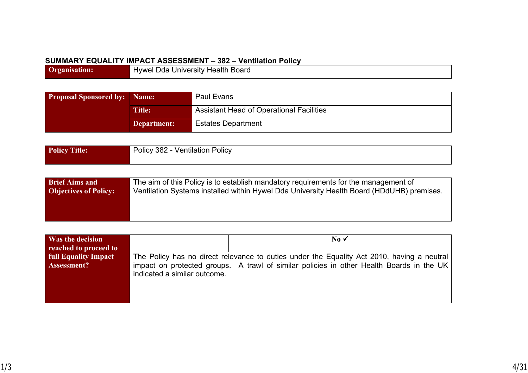### **SUMMARY EQUALITY IMPACT ASSESSMENT – 382 – Ventilation Policy**

**Organisation:** Hywel Dda University Health Board

| <b>Proposal Sponsored by: Name:</b> |               | Paul Evans                                      |  |
|-------------------------------------|---------------|-------------------------------------------------|--|
|                                     | <b>Title:</b> | <b>Assistant Head of Operational Facilities</b> |  |
|                                     | Department:   | <b>Estates Department</b>                       |  |

| Policy Title: | Policy 382 - Ventilation Policy |
|---------------|---------------------------------|
|               |                                 |

| <b>Brief Aims and</b>        | The aim of this Policy is to establish mandatory requirements for the management of       |
|------------------------------|-------------------------------------------------------------------------------------------|
| <b>Objectives of Policy:</b> | Ventilation Systems installed within Hywel Dda University Health Board (HDdUHB) premises. |
|                              |                                                                                           |
|                              |                                                                                           |
|                              |                                                                                           |

| Was the decision<br>reached to proceed to |                              | No $\checkmark$                                                                            |
|-------------------------------------------|------------------------------|--------------------------------------------------------------------------------------------|
| <b>full Equality Impact</b>               |                              | The Policy has no direct relevance to duties under the Equality Act 2010, having a neutral |
| Assessment?                               | indicated a similar outcome. | impact on protected groups. A trawl of similar policies in other Health Boards in the UK   |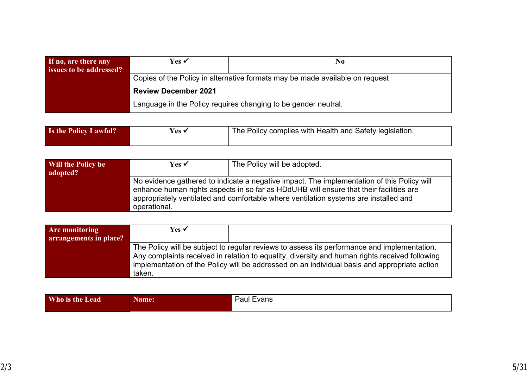| If no, are there any<br>issues to be addressed?                | Yes ✔                                                                        | No. |
|----------------------------------------------------------------|------------------------------------------------------------------------------|-----|
|                                                                | Copies of the Policy in alternative formats may be made available on request |     |
|                                                                | <b>Review December 2021</b>                                                  |     |
| Language in the Policy requires changing to be gender neutral. |                                                                              |     |

| <b>Is the Policy Lawful?</b> | Yes · | The Policy complies with Health and Safety legislation. |
|------------------------------|-------|---------------------------------------------------------|
|                              |       |                                                         |

| Will the Policy be<br>adopted? | Yes √        | The Policy will be adopted.                                                                                                                                                                                                                                                  |
|--------------------------------|--------------|------------------------------------------------------------------------------------------------------------------------------------------------------------------------------------------------------------------------------------------------------------------------------|
|                                | operational. | No evidence gathered to indicate a negative impact. The implementation of this Policy will<br>enhance human rights aspects in so far as HDdUHB will ensure that their facilities are<br>appropriately ventilated and comfortable where ventilation systems are installed and |

| <b>Are monitoring</b>  | Yes $\checkmark$                                                                               |                                                                                              |  |  |  |  |  |
|------------------------|------------------------------------------------------------------------------------------------|----------------------------------------------------------------------------------------------|--|--|--|--|--|
| arrangements in place? |                                                                                                |                                                                                              |  |  |  |  |  |
|                        |                                                                                                | The Policy will be subject to regular reviews to assess its performance and implementation.  |  |  |  |  |  |
|                        | Any complaints received in relation to equality, diversity and human rights received following |                                                                                              |  |  |  |  |  |
|                        |                                                                                                | implementation of the Policy will be addressed on an individual basis and appropriate action |  |  |  |  |  |
|                        | taken.                                                                                         |                                                                                              |  |  |  |  |  |

| Who is the Lead | ame: | Paul<br>:vans |
|-----------------|------|---------------|
|                 |      |               |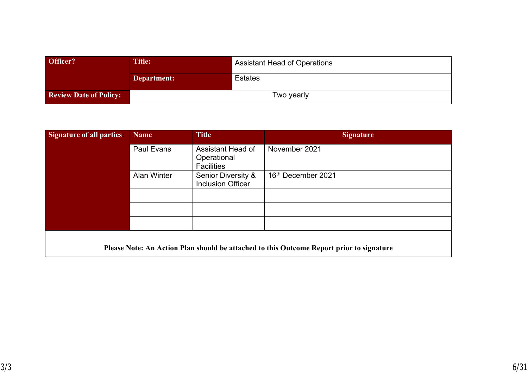| Officer?                      | Title:      | <b>Assistant Head of Operations</b> |
|-------------------------------|-------------|-------------------------------------|
|                               | Department: | Estates                             |
| <b>Review Date of Policy:</b> | Two yearly  |                                     |

| <b>Signature of all parties:</b> | <b>Name</b>        | <b>Title</b>                                          | <b>Signature</b>                                                                         |
|----------------------------------|--------------------|-------------------------------------------------------|------------------------------------------------------------------------------------------|
|                                  | <b>Paul Evans</b>  | Assistant Head of<br>Operational<br><b>Facilities</b> | November 2021                                                                            |
|                                  | <b>Alan Winter</b> | Senior Diversity &<br><b>Inclusion Officer</b>        | 16 <sup>th</sup> December 2021                                                           |
|                                  |                    |                                                       |                                                                                          |
|                                  |                    |                                                       |                                                                                          |
|                                  |                    |                                                       |                                                                                          |
|                                  |                    |                                                       | Please Note: An Action Plan should be attached to this Outcome Report prior to signature |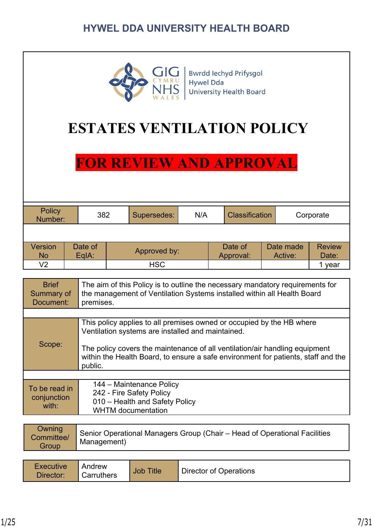

**Bwrdd lechyd Prifysgol Hywel Dda University Health Board** 

# **ESTATES VENTILATION POLICY**

# **FOR REVIEW AND APPROVAL**

| Policy<br>382<br>Number: |  | Supersedes: | N/A          |  | <b>Classification</b> |           | Corporate |           |               |
|--------------------------|--|-------------|--------------|--|-----------------------|-----------|-----------|-----------|---------------|
|                          |  |             |              |  |                       |           |           |           |               |
| <b>Version</b>           |  | Date of     | Approved by: |  |                       | Date of   |           | Date made | <b>Review</b> |
| <b>No</b>                |  | $EqA$ :     |              |  |                       | Approval: |           | Active:   | Date:         |
| V2                       |  |             | <b>HSC</b>   |  |                       |           |           |           | year          |

| <b>Brief</b><br>Summary of<br>Document: | The aim of this Policy is to outline the necessary mandatory requirements for<br>the management of Ventilation Systems installed within all Health Board<br>premises.                                                                                                                                     |
|-----------------------------------------|-----------------------------------------------------------------------------------------------------------------------------------------------------------------------------------------------------------------------------------------------------------------------------------------------------------|
|                                         |                                                                                                                                                                                                                                                                                                           |
| Scope:                                  | This policy applies to all premises owned or occupied by the HB where<br>Ventilation systems are installed and maintained.<br>The policy covers the maintenance of all ventilation/air handling equipment<br>within the Health Board, to ensure a safe environment for patients, staff and the<br>public. |
|                                         |                                                                                                                                                                                                                                                                                                           |
| To be read in<br>conjunction<br>with:   | 144 – Maintenance Policy<br>242 - Fire Safety Policy<br>010 - Health and Safety Policy<br><b>WHTM</b> documentation                                                                                                                                                                                       |

| <b>Owning</b><br>Committee/<br><b>Group</b> | Senior Operational Managers Group (Chair – Head of Operational Facilities<br>Management) |
|---------------------------------------------|------------------------------------------------------------------------------------------|
|---------------------------------------------|------------------------------------------------------------------------------------------|

| <b>Executive</b> | Andrew                  | <b>Title</b> | Director of Operations |
|------------------|-------------------------|--------------|------------------------|
| Director:        | <sup>1</sup> Carruthers | Job          |                        |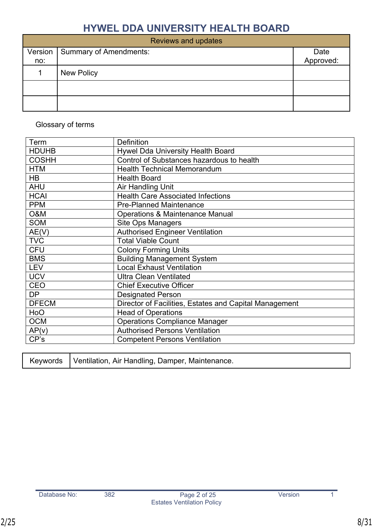|                | <b>Reviews and updates</b> |                   |
|----------------|----------------------------|-------------------|
| Version<br>no: | Summary of Amendments:     | Date<br>Approved: |
|                | <b>New Policy</b>          |                   |
|                |                            |                   |
|                |                            |                   |

# Glossary of terms

| Term           | <b>Definition</b>                                      |
|----------------|--------------------------------------------------------|
| <b>HDUHB</b>   | Hywel Dda University Health Board                      |
| <b>COSHH</b>   | Control of Substances hazardous to health              |
| <b>HTM</b>     | <b>Health Technical Memorandum</b>                     |
| HB             | <b>Health Board</b>                                    |
| <b>AHU</b>     | Air Handling Unit                                      |
| <b>HCAI</b>    | <b>Health Care Associated Infections</b>               |
| <b>PPM</b>     | <b>Pre-Planned Maintenance</b>                         |
| <b>O&amp;M</b> | <b>Operations &amp; Maintenance Manual</b>             |
| <b>SOM</b>     | <b>Site Ops Managers</b>                               |
| AE(V)          | <b>Authorised Engineer Ventilation</b>                 |
| <b>TVC</b>     | <b>Total Viable Count</b>                              |
| <b>CFU</b>     | <b>Colony Forming Units</b>                            |
| <b>BMS</b>     | <b>Building Management System</b>                      |
| <b>LEV</b>     | <b>Local Exhaust Ventilation</b>                       |
| <b>UCV</b>     | <b>Ultra Clean Ventilated</b>                          |
| <b>CEO</b>     | <b>Chief Executive Officer</b>                         |
| <b>DP</b>      | <b>Designated Person</b>                               |
| <b>DFECM</b>   | Director of Facilities, Estates and Capital Management |
| HoO            | <b>Head of Operations</b>                              |
| <b>OCM</b>     | <b>Operations Compliance Manager</b>                   |
| AP(v)          | <b>Authorised Persons Ventilation</b>                  |
| CP's           | <b>Competent Persons Ventilation</b>                   |

|  | Keywords   Ventilation, Air Handling, Damper, Maintenance. |  |
|--|------------------------------------------------------------|--|
|--|------------------------------------------------------------|--|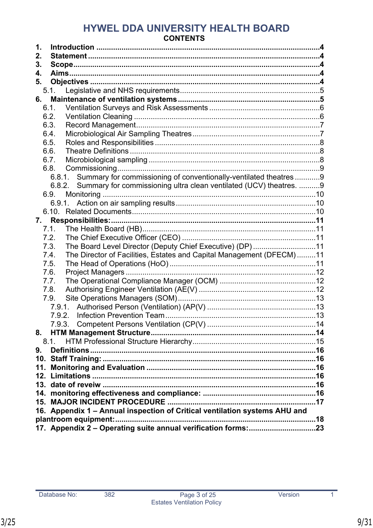# HYWEL DDA UNIVERSITY HEALTH BOARD **CONTENTS**

| 1.                                                                           |  |
|------------------------------------------------------------------------------|--|
| 2.                                                                           |  |
| 3.                                                                           |  |
| 4.                                                                           |  |
| 5.                                                                           |  |
| 5.1.                                                                         |  |
| 6.                                                                           |  |
| 6.1.                                                                         |  |
| 6.2.                                                                         |  |
| 6.3.                                                                         |  |
| 6.4.                                                                         |  |
| 6.5.                                                                         |  |
| 6.6.                                                                         |  |
| 6.7.                                                                         |  |
| 6.8.                                                                         |  |
| Summary for commissioning of conventionally-ventilated theatres9<br>6.8.1.   |  |
| 6.8.2. Summary for commissioning ultra clean ventilated (UCV) theatres. 9    |  |
| 6.9.                                                                         |  |
|                                                                              |  |
|                                                                              |  |
| 7.                                                                           |  |
| 7.1.                                                                         |  |
| 7.2.                                                                         |  |
| The Board Level Director (Deputy Chief Executive) (DP)11<br>7.3.             |  |
| The Director of Facilities, Estates and Capital Management (DFECM)11<br>7.4. |  |
| 7.5.                                                                         |  |
| 7.6.                                                                         |  |
| 7.7.                                                                         |  |
| 7.8.<br>7.9.                                                                 |  |
|                                                                              |  |
|                                                                              |  |
|                                                                              |  |
| 8.                                                                           |  |
| 8.1                                                                          |  |
| 9.                                                                           |  |
|                                                                              |  |
|                                                                              |  |
|                                                                              |  |
|                                                                              |  |
|                                                                              |  |
|                                                                              |  |
| 16. Appendix 1 - Annual inspection of Critical ventilation systems AHU and   |  |
|                                                                              |  |
|                                                                              |  |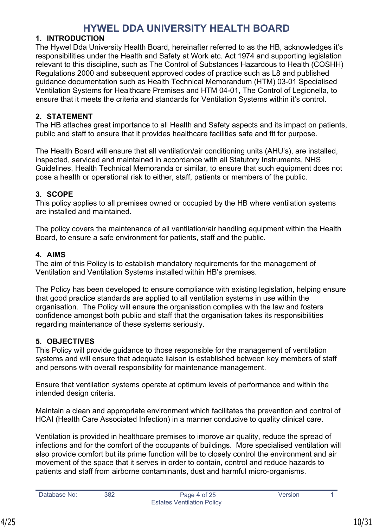### <span id="page-9-0"></span>**1. INTRODUCTION**

The Hywel Dda University Health Board, hereinafter referred to as the HB, acknowledges it's responsibilities under the Health and Safety at Work etc. Act 1974 and supporting legislation relevant to this discipline, such as The Control of Substances Hazardous to Health (COSHH) Regulations 2000 and subsequent approved codes of practice such as L8 and published guidance documentation such as Health Technical Memorandum (HTM) 03-01 Specialised Ventilation Systems for Healthcare Premises and HTM 04-01, The Control of Legionella, to ensure that it meets the criteria and standards for Ventilation Systems within it's control.

### <span id="page-9-1"></span>**2. STATEMENT**

The HB attaches great importance to all Health and Safety aspects and its impact on patients, public and staff to ensure that it provides healthcare facilities safe and fit for purpose.

The Health Board will ensure that all ventilation/air conditioning units (AHU's), are installed, inspected, serviced and maintained in accordance with all Statutory Instruments, NHS Guidelines, Health Technical Memoranda or similar, to ensure that such equipment does not pose a health or operational risk to either, staff, patients or members of the public.

# <span id="page-9-2"></span>**3. SCOPE**

This policy applies to all premises owned or occupied by the HB where ventilation systems are installed and maintained.

The policy covers the maintenance of all ventilation/air handling equipment within the Health Board, to ensure a safe environment for patients, staff and the public.

### <span id="page-9-3"></span>**4. AIMS**

The aim of this Policy is to establish mandatory requirements for the management of Ventilation and Ventilation Systems installed within HB's premises.

The Policy has been developed to ensure compliance with existing legislation, helping ensure that good practice standards are applied to all ventilation systems in use within the organisation. The Policy will ensure the organisation complies with the law and fosters confidence amongst both public and staff that the organisation takes its responsibilities regarding maintenance of these systems seriously.

### <span id="page-9-4"></span>**5. OBJECTIVES**

This Policy will provide guidance to those responsible for the management of ventilation systems and will ensure that adequate liaison is established between key members of staff and persons with overall responsibility for maintenance management.

Ensure that ventilation systems operate at optimum levels of performance and within the intended design criteria.

Maintain a clean and appropriate environment which facilitates the prevention and control of HCAI (Health Care Associated Infection) in a manner conducive to quality clinical care.

Ventilation is provided in healthcare premises to improve air quality, reduce the spread of infections and for the comfort of the occupants of buildings. More specialised ventilation will also provide comfort but its prime function will be to closely control the environment and air movement of the space that it serves in order to contain, control and reduce hazards to patients and staff from airborne contaminants, dust and harmful micro-organisms.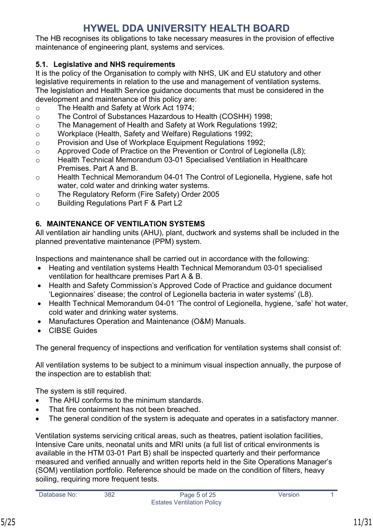The HB recognises its obligations to take necessary measures in the provision of effective maintenance of engineering plant, systems and services.

# <span id="page-10-0"></span>**5.1. Legislative and NHS requirements**

It is the policy of the Organisation to comply with NHS, UK and EU statutory and other legislative requirements in relation to the use and management of ventilation systems. The legislation and Health Service guidance documents that must be considered in the development and maintenance of this policy are:

- o The Health and Safety at Work Act 1974;
- o The Control of Substances Hazardous to Health (COSHH) 1998;
- o The Management of Health and Safety at Work Regulations 1992;
- o Workplace (Health, Safety and Welfare) Regulations 1992;
- o Provision and Use of Workplace Equipment Regulations 1992;
- o Approved Code of Practice on the Prevention or Control of Legionella (L8);
- o Health Technical Memorandum 03-01 Specialised Ventilation in Healthcare Premises. Part A and B.
- o Health Technical Memorandum 04-01 The Control of Legionella, Hygiene, safe hot water, cold water and drinking water systems.
- o The Regulatory Reform (Fire Safety) Order 2005
- o Building Regulations Part F & Part L2

# <span id="page-10-1"></span>**6. MAINTENANCE OF VENTILATION SYSTEMS**

All ventilation air handling units (AHU), plant, ductwork and systems shall be included in the planned preventative maintenance (PPM) system.

Inspections and maintenance shall be carried out in accordance with the following:

- Heating and ventilation systems Health Technical Memorandum 03-01 specialised ventilation for healthcare premises Part A & B.
- Health and Safety Commission's Approved Code of Practice and quidance document 'Legionnaires' disease; the control of Legionella bacteria in water systems' (L8).
- Health Technical Memorandum 04-01 'The control of Legionella, hygiene, 'safe' hot water, cold water and drinking water systems.
- Manufactures Operation and Maintenance (O&M) Manuals.
- CIBSE Guides

The general frequency of inspections and verification for ventilation systems shall consist of:

All ventilation systems to be subject to a minimum visual inspection annually, the purpose of the inspection are to establish that:

The system is still required.

- The AHU conforms to the minimum standards.
- That fire containment has not been breached
- The general condition of the system is adequate and operates in a satisfactory manner.

Ventilation systems servicing critical areas, such as theatres, patient isolation facilities, Intensive Care units, neonatal units and MRI units (a full list of critical environments is available in the HTM 03-01 Part B) shall be inspected quarterly and their performance measured and verified annually and written reports held in the Site Operations Manager's (SOM) ventilation portfolio. Reference should be made on the condition of filters, heavy soiling, requiring more frequent tests.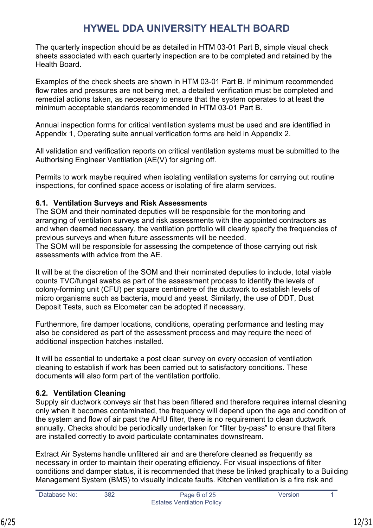The quarterly inspection should be as detailed in HTM 03-01 Part B, simple visual check sheets associated with each quarterly inspection are to be completed and retained by the Health Board.

Examples of the check sheets are shown in HTM 03-01 Part B. If minimum recommended flow rates and pressures are not being met, a detailed verification must be completed and remedial actions taken, as necessary to ensure that the system operates to at least the minimum acceptable standards recommended in HTM 03-01 Part B.

Annual inspection forms for critical ventilation systems must be used and are identified in [Appendix 1,](#page-23-0) Operating suite annual verification forms are held in [Appendix 2.](#page-28-0)

All validation and verification reports on critical ventilation systems must be submitted to the Authorising Engineer Ventilation (AE(V) for signing off.

Permits to work maybe required when isolating ventilation systems for carrying out routine inspections, for confined space access or isolating of fire alarm services.

# <span id="page-11-0"></span>**6.1. Ventilation Surveys and Risk Assessments**

The SOM and their nominated deputies will be responsible for the monitoring and arranging of ventilation surveys and risk assessments with the appointed contractors as and when deemed necessary, the ventilation portfolio will clearly specify the frequencies of previous surveys and when future assessments will be needed.

The SOM will be responsible for assessing the competence of those carrying out risk assessments with advice from the AE.

It will be at the discretion of the SOM and their nominated deputies to include, total viable counts TVC/fungal swabs as part of the assessment process to identify the levels of colony-forming unit (CFU) per square centimetre of the ductwork to establish levels of micro organisms such as bacteria, mould and yeast. Similarly, the use of DDT, Dust Deposit Tests, such as Elcometer can be adopted if necessary.

Furthermore, fire damper locations, conditions, operating performance and testing may also be considered as part of the assessment process and may require the need of additional inspection hatches installed.

It will be essential to undertake a post clean survey on every occasion of ventilation cleaning to establish if work has been carried out to satisfactory conditions. These documents will also form part of the ventilation portfolio.

# <span id="page-11-1"></span>**6.2. Ventilation Cleaning**

Supply air ductwork conveys air that has been filtered and therefore requires internal cleaning only when it becomes contaminated, the frequency will depend upon the age and condition of the system and flow of air past the AHU filter, there is no requirement to clean ductwork annually. Checks should be periodically undertaken for "filter by-pass" to ensure that filters are installed correctly to avoid particulate contaminates downstream.

Extract Air Systems handle unfiltered air and are therefore cleaned as frequently as necessary in order to maintain their operating efficiency. For visual inspections of filter conditions and damper status, it is recommended that these be linked graphically to a Building Management System (BMS) to visually indicate faults. Kitchen ventilation is a fire risk and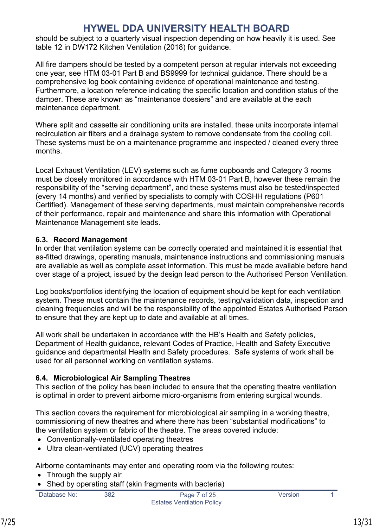should be subject to a quarterly visual inspection depending on how heavily it is used. See table 12 in DW172 Kitchen Ventilation (2018) for guidance.

All fire dampers should be tested by a competent person at regular intervals not exceeding one year, see HTM 03-01 Part B and BS9999 for technical guidance. There should be a comprehensive log book containing evidence of operational maintenance and testing. Furthermore, a location reference indicating the specific location and condition status of the damper. These are known as "maintenance dossiers" and are available at the each maintenance department.

Where split and cassette air conditioning units are installed, these units incorporate internal recirculation air filters and a drainage system to remove condensate from the cooling coil. These systems must be on a maintenance programme and inspected / cleaned every three months.

Local Exhaust Ventilation (LEV) systems such as fume cupboards and Category 3 rooms must be closely monitored in accordance with HTM 03-01 Part B, however these remain the responsibility of the "serving department", and these systems must also be tested/inspected (every 14 months) and verified by specialists to comply with COSHH regulations (P601 Certified). Management of these serving departments, must maintain comprehensive records of their performance, repair and maintenance and share this information with Operational Maintenance Management site leads.

# <span id="page-12-0"></span>**6.3. Record Management**

In order that ventilation systems can be correctly operated and maintained it is essential that as-fitted drawings, operating manuals, maintenance instructions and commissioning manuals are available as well as complete asset information. This must be made available before hand over stage of a project, issued by the design lead person to the Authorised Person Ventilation.

Log books/portfolios identifying the location of equipment should be kept for each ventilation system. These must contain the maintenance records, testing/validation data, inspection and cleaning frequencies and will be the responsibility of the appointed Estates Authorised Person to ensure that they are kept up to date and available at all times.

All work shall be undertaken in accordance with the HB's Health and Safety policies, Department of Health guidance, relevant Codes of Practice, Health and Safety Executive guidance and departmental Health and Safety procedures. Safe systems of work shall be used for all personnel working on ventilation systems.

# <span id="page-12-1"></span>**6.4. Microbiological Air Sampling Theatres**

This section of the policy has been included to ensure that the operating theatre ventilation is optimal in order to prevent airborne micro-organisms from entering surgical wounds.

This section covers the requirement for microbiological air sampling in a working theatre, commissioning of new theatres and where there has been "substantial modifications" to the ventilation system or fabric of the theatre. The areas covered include:

- Conventionally-ventilated operating theatres
- Ultra clean-ventilated (UCV) operating theatres

Airborne contaminants may enter and operating room via the following routes:

- Through the supply air
- Shed by operating staff (skin fragments with bacteria)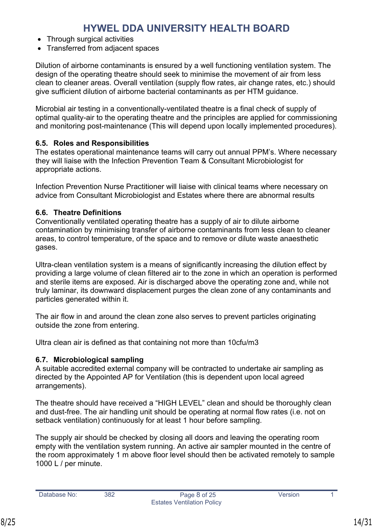- Through surgical activities
- Transferred from adjacent spaces

Dilution of airborne contaminants is ensured by a well functioning ventilation system. The design of the operating theatre should seek to minimise the movement of air from less clean to cleaner areas. Overall ventilation (supply flow rates, air change rates, etc.) should give sufficient dilution of airborne bacterial contaminants as per HTM guidance.

Microbial air testing in a conventionally-ventilated theatre is a final check of supply of optimal quality-air to the operating theatre and the principles are applied for commissioning and monitoring post-maintenance (This will depend upon locally implemented procedures).

# <span id="page-13-0"></span>**6.5. Roles and Responsibilities**

The estates operational maintenance teams will carry out annual PPM's. Where necessary they will liaise with the Infection Prevention Team & Consultant Microbiologist for appropriate actions.

Infection Prevention Nurse Practitioner will liaise with clinical teams where necessary on advice from Consultant Microbiologist and Estates where there are abnormal results

# <span id="page-13-1"></span>**6.6. Theatre Definitions**

Conventionally ventilated operating theatre has a supply of air to dilute airborne contamination by minimising transfer of airborne contaminants from less clean to cleaner areas, to control temperature, of the space and to remove or dilute waste anaesthetic gases.

Ultra-clean ventilation system is a means of significantly increasing the dilution effect by providing a large volume of clean filtered air to the zone in which an operation is performed and sterile items are exposed. Air is discharged above the operating zone and, while not truly laminar, its downward displacement purges the clean zone of any contaminants and particles generated within it.

The air flow in and around the clean zone also serves to prevent particles originating outside the zone from entering.

Ultra clean air is defined as that containing not more than 10cfu/m3

# <span id="page-13-2"></span>**6.7. Microbiological sampling**

A suitable accredited external company will be contracted to undertake air sampling as directed by the Appointed AP for Ventilation (this is dependent upon local agreed arrangements).

The theatre should have received a "HIGH LEVEL" clean and should be thoroughly clean and dust-free. The air handling unit should be operating at normal flow rates (i.e. not on setback ventilation) continuously for at least 1 hour before sampling.

The supply air should be checked by closing all doors and leaving the operating room empty with the ventilation system running. An active air sampler mounted in the centre of the room approximately 1 m above floor level should then be activated remotely to sample 1000 L / per minute.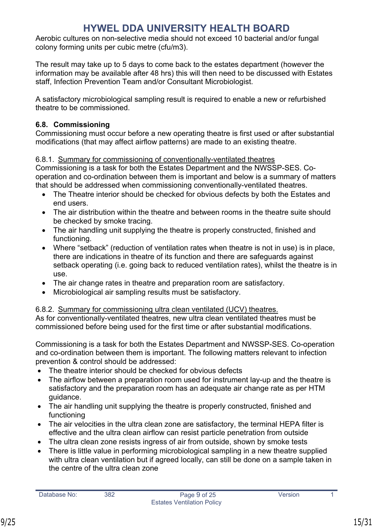Aerobic cultures on non-selective media should not exceed 10 bacterial and/or fungal colony forming units per cubic metre (cfu/m3).

The result may take up to 5 days to come back to the estates department (however the information may be available after 48 hrs) this will then need to be discussed with Estates staff, Infection Prevention Team and/or Consultant Microbiologist.

A satisfactory microbiological sampling result is required to enable a new or refurbished theatre to be commissioned.

# <span id="page-14-0"></span>**6.8. Commissioning**

Commissioning must occur before a new operating theatre is first used or after substantial modifications (that may affect airflow patterns) are made to an existing theatre.

# <span id="page-14-1"></span>6.8.1. Summary for commissioning of conventionally-ventilated theatres

Commissioning is a task for both the Estates Department and the NWSSP-SES. Cooperation and co-ordination between them is important and below is a summary of matters that should be addressed when commissioning conventionally-ventilated theatres.

- The Theatre interior should be checked for obvious defects by both the Estates and end users.
- The air distribution within the theatre and between rooms in the theatre suite should be checked by smoke tracing.
- The air handling unit supplying the theatre is properly constructed, finished and functioning.
- Where "setback" (reduction of ventilation rates when theatre is not in use) is in place, there are indications in theatre of its function and there are safeguards against setback operating (i.e. going back to reduced ventilation rates), whilst the theatre is in use.
- The air change rates in theatre and preparation room are satisfactory.
- Microbiological air sampling results must be satisfactory.

# <span id="page-14-2"></span>6.8.2. Summary for commissioning ultra clean ventilated (UCV) theatres.

As for conventionally-ventilated theatres, new ultra clean ventilated theatres must be commissioned before being used for the first time or after substantial modifications.

Commissioning is a task for both the Estates Department and NWSSP-SES. Co-operation and co-ordination between them is important. The following matters relevant to infection prevention & control should be addressed:

- The theatre interior should be checked for obvious defects
- The airflow between a preparation room used for instrument lay-up and the theatre is satisfactory and the preparation room has an adequate air change rate as per HTM guidance.
- The air handling unit supplying the theatre is properly constructed, finished and functioning
- The air velocities in the ultra clean zone are satisfactory, the terminal HEPA filter is effective and the ultra clean airflow can resist particle penetration from outside
- The ultra clean zone resists ingress of air from outside, shown by smoke tests
- There is little value in performing microbiological sampling in a new theatre supplied with ultra clean ventilation but if agreed locally, can still be done on a sample taken in the centre of the ultra clean zone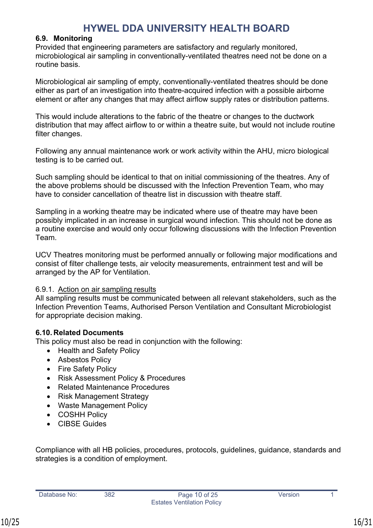### <span id="page-15-0"></span>**6.9. Monitoring**

Provided that engineering parameters are satisfactory and regularly monitored, microbiological air sampling in conventionally-ventilated theatres need not be done on a routine basis.

Microbiological air sampling of empty, conventionally-ventilated theatres should be done either as part of an investigation into theatre-acquired infection with a possible airborne element or after any changes that may affect airflow supply rates or distribution patterns.

This would include alterations to the fabric of the theatre or changes to the ductwork distribution that may affect airflow to or within a theatre suite, but would not include routine filter changes.

Following any annual maintenance work or work activity within the AHU, micro biological testing is to be carried out.

Such sampling should be identical to that on initial commissioning of the theatres. Any of the above problems should be discussed with the Infection Prevention Team, who may have to consider cancellation of theatre list in discussion with theatre staff.

Sampling in a working theatre may be indicated where use of theatre may have been possibly implicated in an increase in surgical wound infection. This should not be done as a routine exercise and would only occur following discussions with the Infection Prevention Team.

UCV Theatres monitoring must be performed annually or following major modifications and consist of filter challenge tests, air velocity measurements, entrainment test and will be arranged by the AP for Ventilation.

### <span id="page-15-1"></span>6.9.1. Action on air sampling results

All sampling results must be communicated between all relevant stakeholders, such as the Infection Prevention Teams, Authorised Person Ventilation and Consultant Microbiologist for appropriate decision making.

### <span id="page-15-2"></span>**6.10. Related Documents**

This policy must also be read in conjunction with the following:

- [Health and Safety Policy](https://hduhb.nhs.wales/about-us/governance-arrangements/policies-and-written-control-documents/policies/health-and-safety-policy/)
- [Asbestos Policy](https://hduhb.nhs.wales/about-us/governance-arrangements/policies-and-written-control-documents/policies/asbestos-policy/)
- [Fire Safety Policy](https://hduhb.nhs.wales/about-us/governance-arrangements/policies-and-written-control-documents/policies/fire-safety-policy/)
- [Risk Assessment Policy & Procedures](https://hduhb.nhs.wales/about-us/governance-arrangements/policies-and-written-control-documents/policies/fire-safety-policy/)
- Related Maintenance Procedures
- [Risk Management Strategy](https://hduhb.nhs.wales/about-us/governance-arrangements/policies-and-written-control-documents/policies/risk-management-strategy-and-policy)
- [Waste Management Policy](https://hduhb.nhs.wales/about-us/governance-arrangements/policies-and-written-control-documents/policies/waste-management-policy-prevention-safe-handling-sustainable-disposal)
- [COSHH Policy](https://hduhb.nhs.wales/about-us/governance-arrangements/policies-and-written-control-documents/policies/waste-management-policy-prevention-safe-handling-sustainable-disposal)
- CIBSE Guides

Compliance with all HB policies, procedures, protocols, guidelines, guidance, standards and strategies is a condition of employment.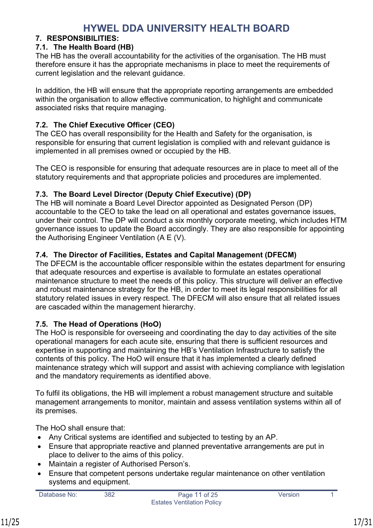# <span id="page-16-0"></span>**7. RESPONSIBILITIES:**

# <span id="page-16-1"></span>**7.1. The Health Board (HB)**

The HB has the overall accountability for the activities of the organisation. The HB must therefore ensure it has the appropriate mechanisms in place to meet the requirements of current legislation and the relevant guidance.

In addition, the HB will ensure that the appropriate reporting arrangements are embedded within the organisation to allow effective communication, to highlight and communicate associated risks that require managing.

# <span id="page-16-2"></span>**7.2. The Chief Executive Officer (CEO)**

The CEO has overall responsibility for the Health and Safety for the organisation, is responsible for ensuring that current legislation is complied with and relevant guidance is implemented in all premises owned or occupied by the HB.

The CEO is responsible for ensuring that adequate resources are in place to meet all of the statutory requirements and that appropriate policies and procedures are implemented.

# <span id="page-16-3"></span>**7.3. The Board Level Director (Deputy Chief Executive) (DP)**

The HB will nominate a Board Level Director appointed as Designated Person (DP) accountable to the CEO to take the lead on all operational and estates governance issues, under their control. The DP will conduct a six monthly corporate meeting, which includes HTM governance issues to update the Board accordingly. They are also responsible for appointing the Authorising Engineer Ventilation (A E (V).

# <span id="page-16-4"></span>**7.4. The Director of Facilities, Estates and Capital Management (DFECM)**

The DFECM is the accountable officer responsible within the estates department for ensuring that adequate resources and expertise is available to formulate an estates operational maintenance structure to meet the needs of this policy. This structure will deliver an effective and robust maintenance strategy for the HB, in order to meet its legal responsibilities for all statutory related issues in every respect. The DFECM will also ensure that all related issues are cascaded within the management hierarchy.

# <span id="page-16-5"></span>**7.5. The Head of Operations (HoO)**

The HoO is responsible for overseeing and coordinating the day to day activities of the site operational managers for each acute site, ensuring that there is sufficient resources and expertise in supporting and maintaining the HB's Ventilation Infrastructure to satisfy the contents of this policy. The HoO will ensure that it has implemented a clearly defined maintenance strategy which will support and assist with achieving compliance with legislation and the mandatory requirements as identified above.

To fulfil its obligations, the HB will implement a robust management structure and suitable management arrangements to monitor, maintain and assess ventilation systems within all of its premises.

The HoO shall ensure that:

- Any Critical systems are identified and subjected to testing by an AP.
- Ensure that appropriate reactive and planned preventative arrangements are put in place to deliver to the aims of this policy.
- Maintain a register of Authorised Person's.
- Ensure that competent persons undertake regular maintenance on other ventilation systems and equipment.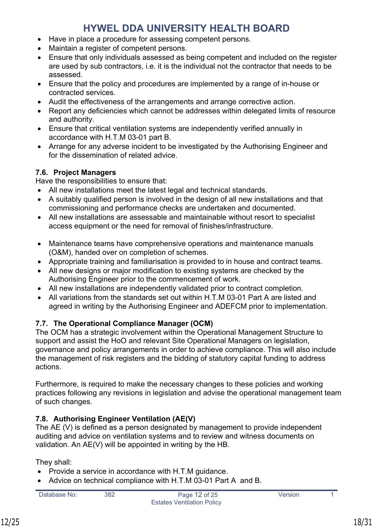- Have in place a procedure for assessing competent persons.
- Maintain a register of competent persons.
- Ensure that only individuals assessed as being competent and included on the register are used by sub contractors, i.e. it is the individual not the contractor that needs to be assessed.
- Ensure that the policy and procedures are implemented by a range of in-house or contracted services.
- Audit the effectiveness of the arrangements and arrange corrective action.
- Report any deficiencies which cannot be addresses within delegated limits of resource and authority.
- Ensure that critical ventilation systems are independently verified annually in accordance with H.T.M 03-01 part B.
- Arrange for any adverse incident to be investigated by the Authorising Engineer and for the dissemination of related advice.

# <span id="page-17-0"></span>**7.6. Project Managers**

Have the responsibilities to ensure that:

- All new installations meet the latest legal and technical standards.
- A suitably qualified person is involved in the design of all new installations and that commissioning and performance checks are undertaken and documented.
- All new installations are assessable and maintainable without resort to specialist access equipment or the need for removal of finishes/infrastructure.
- Maintenance teams have comprehensive operations and maintenance manuals (O&M), handed over on completion of schemes.
- Appropriate training and familiarisation is provided to in house and contract teams.
- All new designs or major modification to existing systems are checked by the Authorising Engineer prior to the commencement of work.
- All new installations are independently validated prior to contract completion.
- All variations from the standards set out within H.T.M 03-01 Part A are listed and agreed in writing by the Authorising Engineer and ADEFCM prior to implementation.

### <span id="page-17-1"></span>**7.7. The Operational Compliance Manager (OCM)**

The OCM has a strategic involvement within the Operational Management Structure to support and assist the HoO and relevant Site Operational Managers on legislation, governance and policy arrangements in order to achieve compliance. This will also include the management of risk registers and the bidding of statutory capital funding to address actions.

Furthermore, is required to make the necessary changes to these policies and working practices following any revisions in legislation and advise the operational management team of such changes.

# <span id="page-17-2"></span>**7.8. Authorising Engineer Ventilation (AE(V)**

The AE (V) is defined as a person designated by management to provide independent auditing and advice on ventilation systems and to review and witness documents on validation. An AE(V) will be appointed in writing by the HB.

They shall:

- Provide a service in accordance with H.T.M guidance.
- Advice on technical compliance with H.T.M 03-01 Part A and B.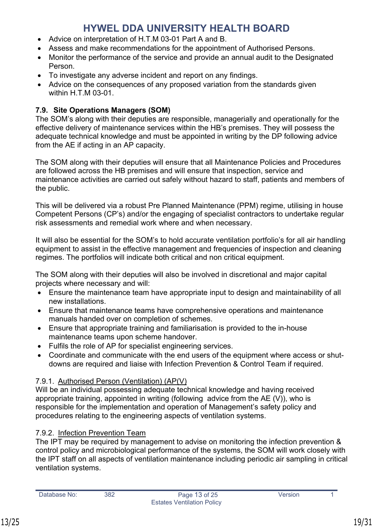- Advice on interpretation of H.T.M 03-01 Part A and B.
- Assess and make recommendations for the appointment of Authorised Persons.
- Monitor the performance of the service and provide an annual audit to the Designated Person.
- To investigate any adverse incident and report on any findings.
- Advice on the consequences of any proposed variation from the standards given within H.T.M 03-01.

# <span id="page-18-0"></span>**7.9. Site Operations Managers (SOM)**

The SOM's along with their deputies are responsible, managerially and operationally for the effective delivery of maintenance services within the HB's premises. They will possess the adequate technical knowledge and must be appointed in writing by the DP following advice from the AE if acting in an AP capacity.

The SOM along with their deputies will ensure that all Maintenance Policies and Procedures are followed across the HB premises and will ensure that inspection, service and maintenance activities are carried out safely without hazard to staff, patients and members of the public.

This will be delivered via a robust Pre Planned Maintenance (PPM) regime, utilising in house Competent Persons (CP's) and/or the engaging of specialist contractors to undertake regular risk assessments and remedial work where and when necessary.

It will also be essential for the SOM's to hold accurate ventilation portfolio's for all air handling equipment to assist in the effective management and frequencies of inspection and cleaning regimes. The portfolios will indicate both critical and non critical equipment.

The SOM along with their deputies will also be involved in discretional and major capital projects where necessary and will:

- Ensure the maintenance team have appropriate input to design and maintainability of all new installations.
- Ensure that maintenance teams have comprehensive operations and maintenance manuals handed over on completion of schemes.
- Ensure that appropriate training and familiarisation is provided to the in-house maintenance teams upon scheme handover.
- Fulfils the role of AP for specialist engineering services.
- Coordinate and communicate with the end users of the equipment where access or shutdowns are required and liaise with Infection Prevention & Control Team if required.

# <span id="page-18-1"></span>7.9.1. Authorised Person (Ventilation) (AP(V)

Will be an individual possessing adequate technical knowledge and having received appropriate training, appointed in writing (following advice from the AE (V)), who is responsible for the implementation and operation of Management's safety policy and procedures relating to the engineering aspects of ventilation systems.

# <span id="page-18-2"></span>7.9.2. Infection Prevention Team

The IPT may be required by management to advise on monitoring the infection prevention & control policy and microbiological performance of the systems, the SOM will work closely with the IPT staff on all aspects of ventilation maintenance including periodic air sampling in critical ventilation systems.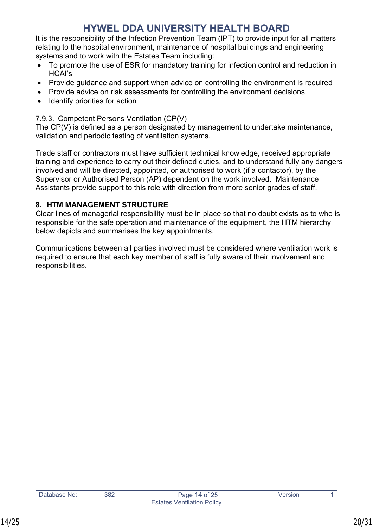It is the responsibility of the Infection Prevention Team (IPT) to provide input for all matters relating to the hospital environment, maintenance of hospital buildings and engineering systems and to work with the Estates Team including:

- To promote the use of ESR for mandatory training for infection control and reduction in HCAI's
- Provide guidance and support when advice on controlling the environment is required
- Provide advice on risk assessments for controlling the environment decisions
- $\bullet$  Identify priorities for action

# <span id="page-19-0"></span>7.9.3. Competent Persons Ventilation (CP(V)

The CP(V) is defined as a person designated by management to undertake maintenance, validation and periodic testing of ventilation systems.

Trade staff or contractors must have sufficient technical knowledge, received appropriate training and experience to carry out their defined duties, and to understand fully any dangers involved and will be directed, appointed, or authorised to work (if a contactor), by the Supervisor or Authorised Person (AP) dependent on the work involved. Maintenance Assistants provide support to this role with direction from more senior grades of staff.

# <span id="page-19-1"></span>**8. HTM MANAGEMENT STRUCTURE**

Clear lines of managerial responsibility must be in place so that no doubt exists as to who is responsible for the safe operation and maintenance of the equipment, the HTM hierarchy below depicts and summarises the key appointments.

Communications between all parties involved must be considered where ventilation work is required to ensure that each key member of staff is fully aware of their involvement and responsibilities.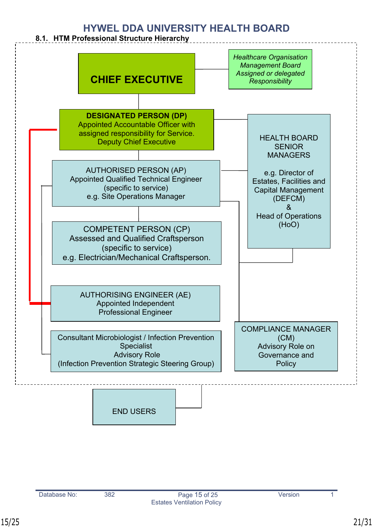----------------------------

### <span id="page-20-0"></span>**8.1. HTM Professional Structure Hierarchy**

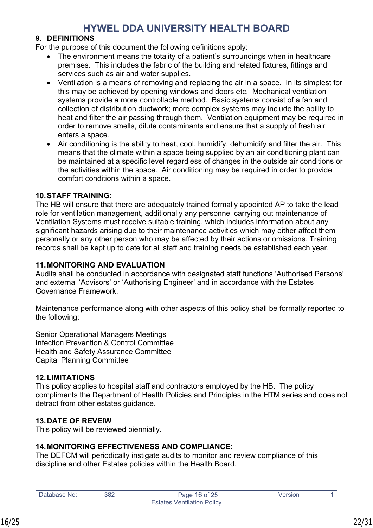### <span id="page-21-0"></span>**9. DEFINITIONS**

For the purpose of this document the following definitions apply:

- The environment means the totality of a patient's surroundings when in healthcare premises. This includes the fabric of the building and related fixtures, fittings and services such as air and water supplies.
- Ventilation is a means of removing and replacing the air in a space. In its simplest for this may be achieved by opening windows and doors etc. Mechanical ventilation systems provide a more controllable method. Basic systems consist of a fan and collection of distribution ductwork; more complex systems may include the ability to heat and filter the air passing through them. Ventilation equipment may be required in order to remove smells, dilute contaminants and ensure that a supply of fresh air enters a space.
- Air conditioning is the ability to heat, cool, humidify, dehumidify and filter the air. This means that the climate within a space being supplied by an air conditioning plant can be maintained at a specific level regardless of changes in the outside air conditions or the activities within the space. Air conditioning may be required in order to provide comfort conditions within a space.

### <span id="page-21-1"></span>**10.STAFF TRAINING:**

The HB will ensure that there are adequately trained formally appointed AP to take the lead role for ventilation management, additionally any personnel carrying out maintenance of Ventilation Systems must receive suitable training, which includes information about any significant hazards arising due to their maintenance activities which may either affect them personally or any other person who may be affected by their actions or omissions. Training records shall be kept up to date for all staff and training needs be established each year.

### <span id="page-21-2"></span>**11.MONITORING AND EVALUATION**

Audits shall be conducted in accordance with designated staff functions 'Authorised Persons' and external 'Advisors' or 'Authorising Engineer' and in accordance with the Estates Governance Framework.

Maintenance performance along with other aspects of this policy shall be formally reported to the following:

Senior Operational Managers Meetings Infection Prevention & Control Committee Health and Safety Assurance Committee Capital Planning Committee

### <span id="page-21-3"></span>**12.LIMITATIONS**

This policy applies to hospital staff and contractors employed by the HB. The policy compliments the Department of Health Policies and Principles in the HTM series and does not detract from other estates guidance.

### <span id="page-21-4"></span>**13.DATE OF REVEIW**

This policy will be reviewed biennially.

# <span id="page-21-5"></span>**14.MONITORING EFFECTIVENESS AND COMPLIANCE:**

The DEFCM will periodically instigate audits to monitor and review compliance of this discipline and other Estates policies within the Health Board.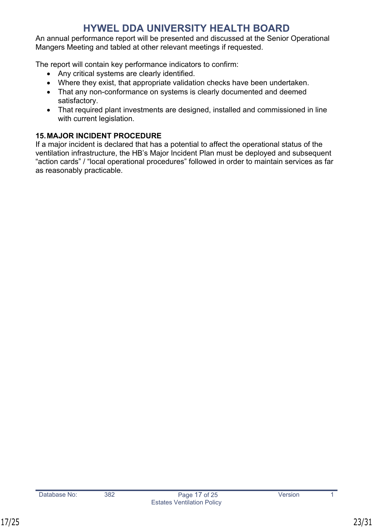An annual performance report will be presented and discussed at the Senior Operational Mangers Meeting and tabled at other relevant meetings if requested.

The report will contain key performance indicators to confirm:

- Any critical systems are clearly identified.
- Where they exist, that appropriate validation checks have been undertaken.
- That any non-conformance on systems is clearly documented and deemed satisfactory.
- That required plant investments are designed, installed and commissioned in line with current legislation.

# <span id="page-22-0"></span>**15.MAJOR INCIDENT PROCEDURE**

If a major incident is declared that has a potential to affect the operational status of the ventilation infrastructure, the HB's Major Incident Plan must be deployed and subsequent "action cards" / "local operational procedures" followed in order to maintain services as far as reasonably practicable.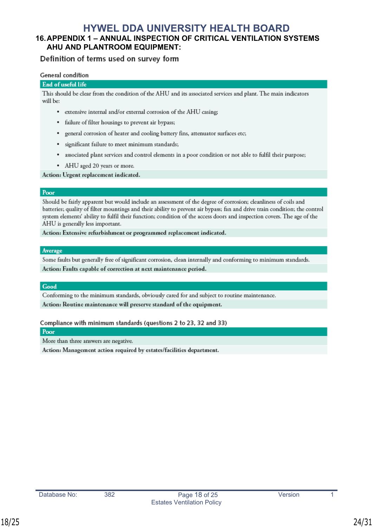### <span id="page-23-0"></span>**16.APPENDIX 1 – ANNUAL INSPECTION OF CRITICAL VENTILATION SYSTEMS AHU AND PLANTROOM EQUIPMENT:**

### Definition of terms used on survey form

#### General condition

#### End of useful life

This should be clear from the condition of the AHU and its associated services and plant. The main indicators will be:

- extensive internal and/or external corrosion of the AHU casing;
- · failure of filter housings to prevent air bypass;
- · general corrosion of heater and cooling battery fins, attenuator surfaces etc;
- · significant failure to meet minimum standards;
- associated plant services and control elements in a poor condition or not able to fulfil their purpose;
- AHU aged 20 years or more.

Action: Urgent replacement indicated.

#### Poor

Should be fairly apparent but would include an assessment of the degree of corrosion; cleanliness of coils and batteries; quality of filter mountings and their ability to prevent air bypass; fan and drive train condition; the control system elements' ability to fulfil their function; condition of the access doors and inspection covers. The age of the AHU is generally less important.

Action: Extensive refurbishment or programmed replacement indicated.

#### Average

Some faults but generally free of significant corrosion, clean internally and conforming to minimum standards. Action: Faults capable of correction at next maintenance period.

#### Good

Conforming to the minimum standards, obviously cared for and subject to routine maintenance. Action: Routine maintenance will preserve standard of the equipment.

#### Compliance with minimum standards (questions 2 to 23, 32 and 33)

Poor

More than three answers are negative.

Action: Management action required by estates/facilities department.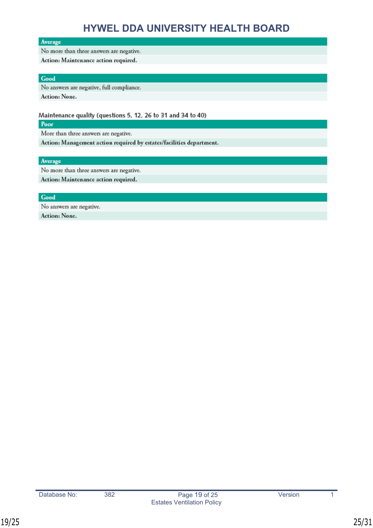#### Average

#### No more than three answers are negative.

Action: Maintenance action required.

#### Good

No answers are negative, full compliance.

Action: None.

#### Maintenance quality (questions 5, 12, 26 to 31 and 34 to 40)

Poor

More than three answers are negative.

Action: Management action required by estates/facilities department.

#### Average

No more than three answers are negative.

Action: Maintenance action required.

#### Good

No answers are negative. Action: None.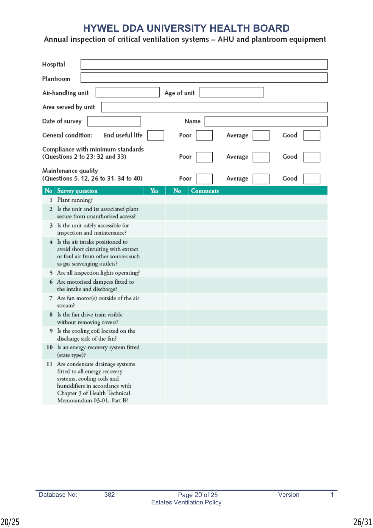# **HYWEL DDA UNIVERSITY HEALTH BOARD**<br>Annual inspection of critical ventilation systems - AHU and plantroom equipment

| Hospital       |                                                                                                                                                                                                   |     |      |                 |         |      |
|----------------|---------------------------------------------------------------------------------------------------------------------------------------------------------------------------------------------------|-----|------|-----------------|---------|------|
| Plantroom      |                                                                                                                                                                                                   |     |      |                 |         |      |
|                | Age of unit<br>Air-handling unit                                                                                                                                                                  |     |      |                 |         |      |
|                | Area served by unit                                                                                                                                                                               |     |      |                 |         |      |
|                | Date of survey                                                                                                                                                                                    |     |      | Name            |         |      |
|                | End useful life<br>General condition:                                                                                                                                                             |     | Poor |                 | Average | Good |
|                | Compliance with minimum standards<br>(Questions 2 to 23; 32 and 33)                                                                                                                               |     | Poor |                 | Average | Good |
|                | Maintenance quality<br>(Questions 5, 12, 26 to 31, 34 to 40)                                                                                                                                      |     | Poor |                 | Average | Good |
| N <sub>o</sub> | <b>Survey question</b>                                                                                                                                                                            | Yes | No   | <b>Comments</b> |         |      |
|                | 1 Plant running?                                                                                                                                                                                  |     |      |                 |         |      |
|                | 2 Is the unit and its associated plant<br>secure from unauthorised access?                                                                                                                        |     |      |                 |         |      |
|                | 3 Is the unit safely accessible for<br>inspection and maintenance?                                                                                                                                |     |      |                 |         |      |
|                | 4 Is the air intake positioned to<br>avoid short circuiting with extract<br>or foul air from other sources such<br>as gas scavenging outlets?                                                     |     |      |                 |         |      |
|                | 5 Are all inspection lights operating?                                                                                                                                                            |     |      |                 |         |      |
|                | 6 Are motorised dampers fitted to<br>the intake and discharge?                                                                                                                                    |     |      |                 |         |      |
|                | 7 Are fan motor(s) outside of the air<br>stream?                                                                                                                                                  |     |      |                 |         |      |
|                | 8 Is the fan drive train visible<br>without removing covers?                                                                                                                                      |     |      |                 |         |      |
|                | 9 Is the cooling coil located on the<br>discharge side of the fan?                                                                                                                                |     |      |                 |         |      |
|                | 10 Is an energy-recovery system fitted<br>(state type)?                                                                                                                                           |     |      |                 |         |      |
|                | 11 Are condensate drainage systems<br>fitted to all energy recovery<br>systems, cooling coils and<br>humidifiers in accordance with<br>Chapter 3 of Health Technical<br>Memorandum 03-01, Part B? |     |      |                 |         |      |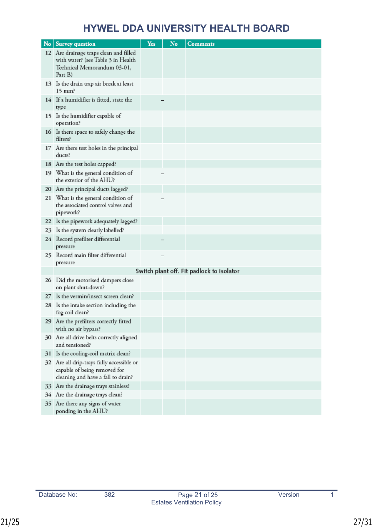|    | No   Survey question                                                                                                   | Yes | No | <b>Comments</b>                           |
|----|------------------------------------------------------------------------------------------------------------------------|-----|----|-------------------------------------------|
|    | 12 Are drainage traps clean and filled<br>with water? (see Table 3 in Health<br>Technical Memorandum 03-01,<br>Part B) |     |    |                                           |
|    | 13 Is the drain trap air break at least<br>$15 \text{ mm}$ ?                                                           |     |    |                                           |
|    | 14 If a humidifier is fitted, state the<br>type                                                                        |     |    |                                           |
|    | 15 Is the humidifier capable of<br>operation?                                                                          |     |    |                                           |
|    | 16 Is there space to safely change the<br>filters?                                                                     |     |    |                                           |
|    | 17 Are there test holes in the principal<br>ducts?                                                                     |     |    |                                           |
|    | 18 Are the test holes capped?                                                                                          |     |    |                                           |
|    | 19 What is the general condition of<br>the exterior of the AHU?                                                        |     |    |                                           |
|    | 20 Are the principal ducts lagged?                                                                                     |     |    |                                           |
|    | 21 What is the general condition of<br>the associated control valves and<br>pipework?                                  |     |    |                                           |
|    | 22 Is the pipework adequately lagged?                                                                                  |     |    |                                           |
| 23 | Is the system clearly labelled?                                                                                        |     |    |                                           |
| 24 | Record prefilter differential<br>pressure                                                                              |     |    |                                           |
|    | 25 Record main filter differential<br>pressure                                                                         |     |    |                                           |
|    |                                                                                                                        |     |    | Switch plant off. Fit padlock to isolator |
|    | 26 Did the motorised dampers close<br>on plant shut-down?                                                              |     |    |                                           |
| 27 | Is the vermin/insect screen clean?                                                                                     |     |    |                                           |
|    | 28 Is the intake section including the<br>fog coil clean?                                                              |     |    |                                           |
|    | 29 Are the prefilters correctly fitted<br>with no air bypass?                                                          |     |    |                                           |
|    | 30 Are all drive belts correctly aligned<br>and tensioned?                                                             |     |    |                                           |
| 31 | Is the cooling-coil matrix clean?                                                                                      |     |    |                                           |
|    | 32 Are all drip-trays fully accessible or<br>capable of being removed for<br>cleaning and have a fall to drain?        |     |    |                                           |
|    | 33 Are the drainage trays stainless?                                                                                   |     |    |                                           |
|    | 34 Are the drainage trays clean?                                                                                       |     |    |                                           |
|    | 35 Are there any signs of water<br>ponding in the AHU?                                                                 |     |    |                                           |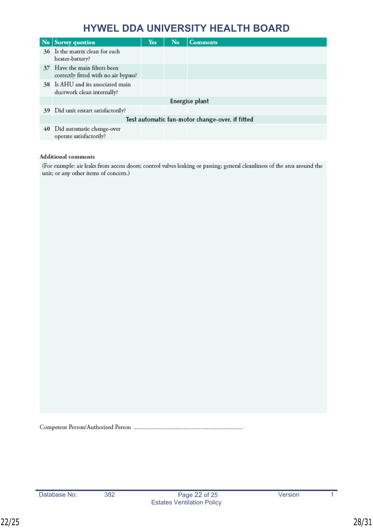| $\mathbf{N}$ o | <b>Survey question</b>                                                | Yes | No | <b>Comments</b>                                 |
|----------------|-----------------------------------------------------------------------|-----|----|-------------------------------------------------|
|                | 36 Is the matrix clean for each<br>heater-battery?                    |     |    |                                                 |
|                | 37 Have the main filters been<br>correctly fitted with no air bypass? |     |    |                                                 |
|                | 38 Is AHU and its associated main<br>ductwork clean internally?       |     |    |                                                 |
|                |                                                                       |     |    | Energise plant                                  |
|                | 39 Did unit restart satisfactorily?                                   |     |    |                                                 |
|                |                                                                       |     |    | Test automatic fan-motor change-over, if fitted |
| 40             | Did automatic change-over<br>operate satisfactorily?                  |     |    |                                                 |

#### **Additional** comments

(For example: air leaks from access doors; control valves leaking or passing; general cleanliness of the area around the unit; or any other items of concern.)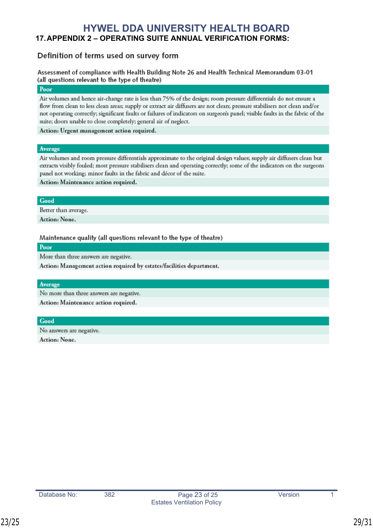# <span id="page-28-0"></span>**HYWEL DDA UNIVERSITY HEALTH BOARD 17.APPENDIX 2 – OPERATING SUITE ANNUAL VERIFICATION FORMS:**

### Definition of terms used on survey form

Assessment of compliance with Health Building Note 26 and Health Technical Memorandum 03-01 (all questions relevant to the type of theatre)

#### Poor

Air volumes and hence air-change rate is less than 75% of the design; room pressure differentials do not ensure a flow from clean to less clean areas; supply or extract air diffusers are not clean; pressure stabilisers not clean and/or not operating correctly; significant faults or failures of indicators on surgeon's panel; visible faults in the fabric of the suite; doors unable to close completely; general air of neglect.

Action: Urgent management action required.

#### Average

Air volumes and room pressure differentials approximate to the original design values, supply air diffusers clean but extracts visibly fouled; most pressure stabilisers clean and operating correctly; some of the indicators on the surgeons panel not working; minor faults in the fabric and décor of the suite.

Action: Maintenance action required.

#### Good

Better than average.

Action: None.

Maintenance quality (all questions relevant to the type of theatre)

Poor

More than three answers are negative.

Action: Management action required by estates/facilities department.

#### Average

No more than three answers are negative.

Action: Maintenance action required.

Good

No answers are negative. Action: None.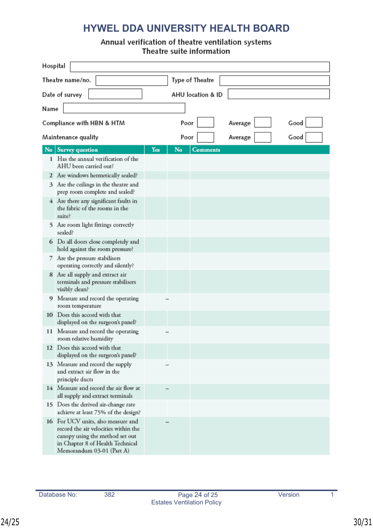# Annual verification of theatre ventilation systems<br>Theatre suite information

| Hospital            |                                                                                                                                                                                |     |                   |                 |         |      |  |  |
|---------------------|--------------------------------------------------------------------------------------------------------------------------------------------------------------------------------|-----|-------------------|-----------------|---------|------|--|--|
| Theatre name/no.    |                                                                                                                                                                                |     | Type of Theatre   |                 |         |      |  |  |
| Date of survey      |                                                                                                                                                                                |     | AHU location & ID |                 |         |      |  |  |
|                     | Name                                                                                                                                                                           |     |                   |                 |         |      |  |  |
|                     | Compliance with HBN & HTM                                                                                                                                                      |     | Poor              |                 | Average | Good |  |  |
| Maintenance quality |                                                                                                                                                                                |     | Poor              |                 | Average | Good |  |  |
| No                  | <b>Survey question</b>                                                                                                                                                         | Yes | No                | <b>Comments</b> |         |      |  |  |
|                     | 1 Has the annual verification of the<br>AHU been carried out?                                                                                                                  |     |                   |                 |         |      |  |  |
|                     | 2 Are windows hermetically sealed?                                                                                                                                             |     |                   |                 |         |      |  |  |
|                     | 3 Are the ceilings in the theatre and<br>prep room complete and sealed?                                                                                                        |     |                   |                 |         |      |  |  |
|                     | 4 Are there any significant faults in<br>the fabric of the rooms in the<br>suite?                                                                                              |     |                   |                 |         |      |  |  |
|                     | 5 Are room light fittings correctly<br>sealed?                                                                                                                                 |     |                   |                 |         |      |  |  |
|                     | 6 Do all doors close completely and<br>hold against the room pressure?                                                                                                         |     |                   |                 |         |      |  |  |
|                     | 7 Are the pressure stabilisers<br>operating correctly and silently?                                                                                                            |     |                   |                 |         |      |  |  |
|                     | 8 Are all supply and extract air<br>terminals and pressure stabilisers<br>visibly clean?                                                                                       |     |                   |                 |         |      |  |  |
|                     | 9 Measure and record the operating<br>room temperature                                                                                                                         |     |                   |                 |         |      |  |  |
|                     | 10 Does this accord with that<br>displayed on the surgeon's panel?                                                                                                             |     |                   |                 |         |      |  |  |
|                     | 11 Measure and record the operating<br>room relative humidity                                                                                                                  |     |                   |                 |         |      |  |  |
|                     | 12 Does this accord with that<br>displayed on the surgeon's panel?                                                                                                             |     |                   |                 |         |      |  |  |
|                     | 13 Measure and record the supply<br>and extract air flow in the<br>principle ducts                                                                                             |     |                   |                 |         |      |  |  |
|                     | 14 Measure and record the air flow at<br>all supply and extract terminals                                                                                                      |     |                   |                 |         |      |  |  |
|                     | 15 Does the derived air-change rate<br>achieve at least 75% of the design?                                                                                                     |     |                   |                 |         |      |  |  |
|                     | 16 For UCV units, also measure and<br>record the air velocities within the<br>canopy using the method set out<br>in Chapter 8 of Health Technical<br>Memorandum 03-01 (Part A) |     |                   |                 |         |      |  |  |